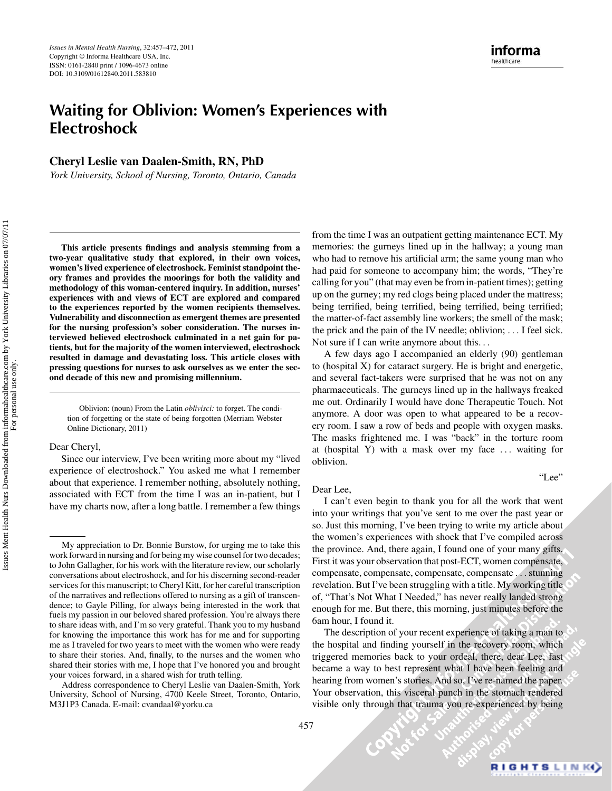# **Waiting for Oblivion: Women's Experiences with Electroshock**

**Cheryl Leslie van Daalen-Smith, RN, PhD**

*York University, School of Nursing, Toronto, Ontario, Canada*

**This article presents findings and analysis stemming from a two-year qualitative study that explored, in their own voices, women's lived experience of electroshock. Feminist standpoint theory frames and provides the moorings for both the validity and methodology of this woman-centered inquiry. In addition, nurses' experiences with and views of ECT are explored and compared to the experiences reported by the women recipients themselves. Vulnerability and disconnection as emergent themes are presented for the nursing profession's sober consideration. The nurses interviewed believed electroshock culminated in a net gain for patients, but for the majority of the women interviewed, electroshock resulted in damage and devastating loss. This article closes with pressing questions for nurses to ask ourselves as we enter the second decade of this new and promising millennium.**

Oblivion: (noun) From the Latin *oblivisci:* to forget. The condition of forgetting or the state of being forgotten (Merriam Webster Online Dictionary, 2011)

#### Dear Cheryl,

Since our interview, I've been writing more about my "lived experience of electroshock." You asked me what I remember about that experience. I remember nothing, absolutely nothing, associated with ECT from the time I was an in-patient, but I have my charts now, after a long battle. I remember a few things

from the time I was an outpatient getting maintenance ECT. My memories: the gurneys lined up in the hallway; a young man who had to remove his artificial arm; the same young man who had paid for someone to accompany him; the words, "They're calling for you" (that may even be from in-patient times); getting up on the gurney; my red clogs being placed under the mattress; being terrified, being terrified, being terrified, being terrified; the matter-of-fact assembly line workers; the smell of the mask; the prick and the pain of the IV needle; oblivion; *...* I feel sick. Not sure if I can write anymore about this*...*

A few days ago I accompanied an elderly (90) gentleman to (hospital X) for cataract surgery. He is bright and energetic, and several fact-takers were surprised that he was not on any pharmaceuticals. The gurneys lined up in the hallways freaked me out. Ordinarily I would have done Therapeutic Touch. Not anymore. A door was open to what appeared to be a recovery room. I saw a row of beds and people with oxygen masks. The masks frightened me. I was "back" in the torture room at (hospital Y) with a mask over my face *...* waiting for oblivion.

#### Dear Lee,

I can't even begin to thank you for all the work that went into your writings that you've sent to me over the past year or so. Just this morning, I've been trying to write my article about the women's experiences with shock that I've compiled across the province. And, there again, I found one of your many gifts. First it was your observation that post-ECT, women compensate, compensate, compensate, compensate, compensate *...* stunning revelation. But I've been struggling with a title. My working title of, "That's Not What I Needed," has never really landed strong enough for me. But there, this morning, just minutes before the 6am hour, I found it.

The description of your recent experience of taking a man to the hospital and finding yourself in the recovery room, which triggered memories back to your ordeal, there, dear Lee, fast became a way to best represent what I have been feeling and hearing from women's stories. And so, I've re-named the paper. Your observation, this visceral punch in the stomach rendered visible only through that trauma you re-experienced by being

 $\mathcal{C}^{\mathbf{X}^{\prime}}$ 

"Lee"

My appreciation to Dr. Bonnie Burstow, for urging me to take this work forward in nursing and for being my wise counsel for two decades; to John Gallagher, for his work with the literature review, our scholarly conversations about electroshock, and for his discerning second-reader services for this manuscript; to Cheryl Kitt, for her careful transcription of the narratives and reflections offered to nursing as a gift of transcendence; to Gayle Pilling, for always being interested in the work that fuels my passion in our beloved shared profession. You're always there to share ideas with, and I'm so very grateful. Thank you to my husband for knowing the importance this work has for me and for supporting me as I traveled for two years to meet with the women who were ready to share their stories. And, finally, to the nurses and the women who shared their stories with me, I hope that I've honored you and brought your voices forward, in a shared wish for truth telling.

Address correspondence to Cheryl Leslie van Daalen-Smith, York University, School of Nursing, 4700 Keele Street, Toronto, Ontario, M3J1P3 Canada. E-mail: cvandaal@yorku.ca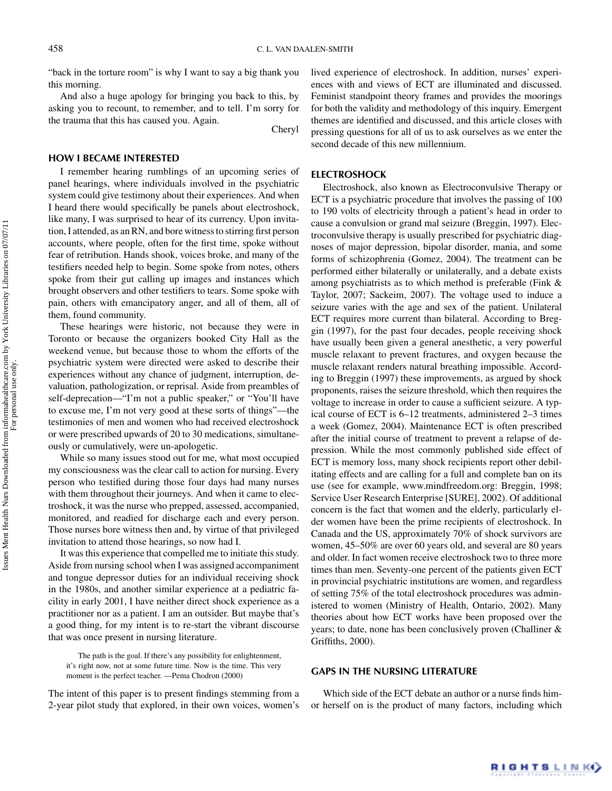"back in the torture room" is why I want to say a big thank you this morning.

And also a huge apology for bringing you back to this, by asking you to recount, to remember, and to tell. I'm sorry for the trauma that this has caused you. Again. Cheryl

#### **HOW I BECAME INTERESTED**

I remember hearing rumblings of an upcoming series of panel hearings, where individuals involved in the psychiatric system could give testimony about their experiences. And when I heard there would specifically be panels about electroshock, like many, I was surprised to hear of its currency. Upon invitation, I attended, as an RN, and bore witness to stirring first person accounts, where people, often for the first time, spoke without fear of retribution. Hands shook, voices broke, and many of the testifiers needed help to begin. Some spoke from notes, others spoke from their gut calling up images and instances which brought observers and other testifiers to tears. Some spoke with pain, others with emancipatory anger, and all of them, all of them, found community.

These hearings were historic, not because they were in Toronto or because the organizers booked City Hall as the weekend venue, but because those to whom the efforts of the psychiatric system were directed were asked to describe their experiences without any chance of judgment, interruption, devaluation, pathologization, or reprisal. Aside from preambles of self-deprecation—"I'm not a public speaker," or "You'll have to excuse me, I'm not very good at these sorts of things"—the testimonies of men and women who had received electroshock or were prescribed upwards of 20 to 30 medications, simultaneously or cumulatively, were un-apologetic.

While so many issues stood out for me, what most occupied my consciousness was the clear call to action for nursing. Every person who testified during those four days had many nurses with them throughout their journeys. And when it came to electroshock, it was the nurse who prepped, assessed, accompanied, monitored, and readied for discharge each and every person. Those nurses bore witness then and, by virtue of that privileged invitation to attend those hearings, so now had I.

It was this experience that compelled me to initiate this study. Aside from nursing school when I was assigned accompaniment and tongue depressor duties for an individual receiving shock in the 1980s, and another similar experience at a pediatric facility in early 2001, I have neither direct shock experience as a practitioner nor as a patient. I am an outsider. But maybe that's a good thing, for my intent is to re-start the vibrant discourse that was once present in nursing literature.

The path is the goal. If there's any possibility for enlightenment, it's right now, not at some future time. Now is the time. This very moment is the perfect teacher. —Pema Chodron (2000)

The intent of this paper is to present findings stemming from a 2-year pilot study that explored, in their own voices, women's lived experience of electroshock. In addition, nurses' experiences with and views of ECT are illuminated and discussed. Feminist standpoint theory frames and provides the moorings for both the validity and methodology of this inquiry. Emergent themes are identified and discussed, and this article closes with pressing questions for all of us to ask ourselves as we enter the second decade of this new millennium.

## **ELECTROSHOCK**

Electroshock, also known as Electroconvulsive Therapy or ECT is a psychiatric procedure that involves the passing of 100 to 190 volts of electricity through a patient's head in order to cause a convulsion or grand mal seizure (Breggin, 1997). Electroconvulsive therapy is usually prescribed for psychiatric diagnoses of major depression, bipolar disorder, mania, and some forms of schizophrenia (Gomez, 2004). The treatment can be performed either bilaterally or unilaterally, and a debate exists among psychiatrists as to which method is preferable (Fink & Taylor, 2007; Sackeim, 2007). The voltage used to induce a seizure varies with the age and sex of the patient. Unilateral ECT requires more current than bilateral. According to Breggin (1997), for the past four decades, people receiving shock have usually been given a general anesthetic, a very powerful muscle relaxant to prevent fractures, and oxygen because the muscle relaxant renders natural breathing impossible. According to Breggin (1997) these improvements, as argued by shock proponents, raises the seizure threshold, which then requires the voltage to increase in order to cause a sufficient seizure. A typical course of ECT is 6–12 treatments, administered 2–3 times a week (Gomez, 2004). Maintenance ECT is often prescribed after the initial course of treatment to prevent a relapse of depression. While the most commonly published side effect of ECT is memory loss, many shock recipients report other debilitating effects and are calling for a full and complete ban on its use (see for example, www.mindfreedom.org: Breggin, 1998; Service User Research Enterprise [SURE], 2002). Of additional concern is the fact that women and the elderly, particularly elder women have been the prime recipients of electroshock. In Canada and the US, approximately 70% of shock survivors are women, 45–50% are over 60 years old, and several are 80 years and older. In fact women receive electroshock two to three more times than men. Seventy-one percent of the patients given ECT in provincial psychiatric institutions are women, and regardless of setting 75% of the total electroshock procedures was administered to women (Ministry of Health, Ontario, 2002). Many theories about how ECT works have been proposed over the years; to date, none has been conclusively proven (Challiner & Griffiths, 2000).

# **GAPS IN THE NURSING LITERATURE**

Which side of the ECT debate an author or a nurse finds himor herself on is the product of many factors, including which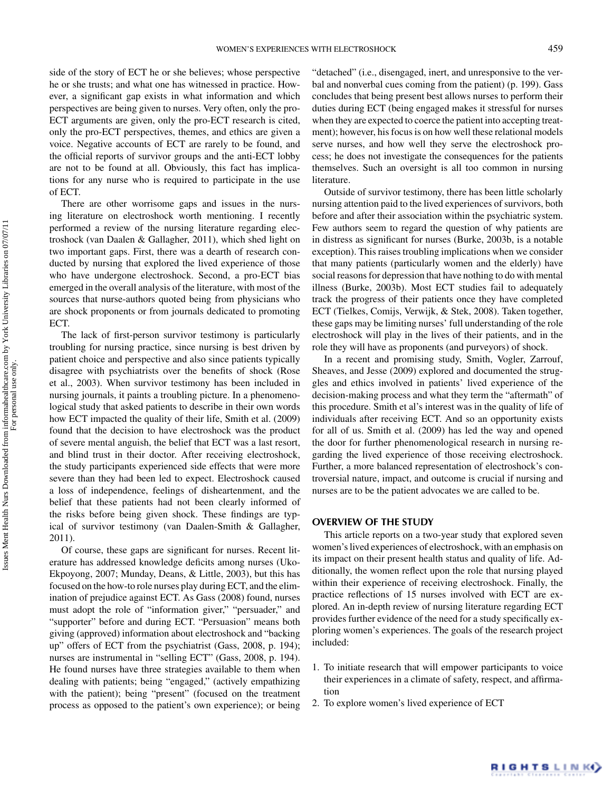side of the story of ECT he or she believes; whose perspective he or she trusts; and what one has witnessed in practice. However, a significant gap exists in what information and which perspectives are being given to nurses. Very often, only the pro-ECT arguments are given, only the pro-ECT research is cited, only the pro-ECT perspectives, themes, and ethics are given a voice. Negative accounts of ECT are rarely to be found, and the official reports of survivor groups and the anti-ECT lobby are not to be found at all. Obviously, this fact has implications for any nurse who is required to participate in the use of ECT.

There are other worrisome gaps and issues in the nursing literature on electroshock worth mentioning. I recently performed a review of the nursing literature regarding electroshock (van Daalen & Gallagher, 2011), which shed light on two important gaps. First, there was a dearth of research conducted by nursing that explored the lived experience of those who have undergone electroshock. Second, a pro-ECT bias emerged in the overall analysis of the literature, with most of the sources that nurse-authors quoted being from physicians who are shock proponents or from journals dedicated to promoting ECT.

The lack of first-person survivor testimony is particularly troubling for nursing practice, since nursing is best driven by patient choice and perspective and also since patients typically disagree with psychiatrists over the benefits of shock (Rose et al., 2003). When survivor testimony has been included in nursing journals, it paints a troubling picture. In a phenomenological study that asked patients to describe in their own words how ECT impacted the quality of their life, Smith et al. (2009) found that the decision to have electroshock was the product of severe mental anguish, the belief that ECT was a last resort, and blind trust in their doctor. After receiving electroshock, the study participants experienced side effects that were more severe than they had been led to expect. Electroshock caused a loss of independence, feelings of disheartenment, and the belief that these patients had not been clearly informed of the risks before being given shock. These findings are typical of survivor testimony (van Daalen-Smith & Gallagher, 2011).

Of course, these gaps are significant for nurses. Recent literature has addressed knowledge deficits among nurses (Uko-Ekpoyong, 2007; Munday, Deans, & Little, 2003), but this has focused on the how-to role nurses play during ECT, and the elimination of prejudice against ECT. As Gass (2008) found, nurses must adopt the role of "information giver," "persuader," and "supporter" before and during ECT. "Persuasion" means both giving (approved) information about electroshock and "backing up" offers of ECT from the psychiatrist (Gass, 2008, p. 194); nurses are instrumental in "selling ECT" (Gass, 2008, p. 194). He found nurses have three strategies available to them when dealing with patients; being "engaged," (actively empathizing with the patient); being "present" (focused on the treatment process as opposed to the patient's own experience); or being

"detached" (i.e., disengaged, inert, and unresponsive to the verbal and nonverbal cues coming from the patient) (p. 199). Gass concludes that being present best allows nurses to perform their duties during ECT (being engaged makes it stressful for nurses when they are expected to coerce the patient into accepting treatment); however, his focus is on how well these relational models serve nurses, and how well they serve the electroshock process; he does not investigate the consequences for the patients themselves. Such an oversight is all too common in nursing literature.

Outside of survivor testimony, there has been little scholarly nursing attention paid to the lived experiences of survivors, both before and after their association within the psychiatric system. Few authors seem to regard the question of why patients are in distress as significant for nurses (Burke, 2003b, is a notable exception). This raises troubling implications when we consider that many patients (particularly women and the elderly) have social reasons for depression that have nothing to do with mental illness (Burke, 2003b). Most ECT studies fail to adequately track the progress of their patients once they have completed ECT (Tielkes, Comijs, Verwijk, & Stek, 2008). Taken together, these gaps may be limiting nurses' full understanding of the role electroshock will play in the lives of their patients, and in the role they will have as proponents (and purveyors) of shock.

In a recent and promising study, Smith, Vogler, Zarrouf, Sheaves, and Jesse (2009) explored and documented the struggles and ethics involved in patients' lived experience of the decision-making process and what they term the "aftermath" of this procedure. Smith et al's interest was in the quality of life of individuals after receiving ECT. And so an opportunity exists for all of us. Smith et al. (2009) has led the way and opened the door for further phenomenological research in nursing regarding the lived experience of those receiving electroshock. Further, a more balanced representation of electroshock's controversial nature, impact, and outcome is crucial if nursing and nurses are to be the patient advocates we are called to be.

## **OVERVIEW OF THE STUDY**

This article reports on a two-year study that explored seven women's lived experiences of electroshock, with an emphasis on its impact on their present health status and quality of life. Additionally, the women reflect upon the role that nursing played within their experience of receiving electroshock. Finally, the practice reflections of 15 nurses involved with ECT are explored. An in-depth review of nursing literature regarding ECT provides further evidence of the need for a study specifically exploring women's experiences. The goals of the research project included:

- 1. To initiate research that will empower participants to voice their experiences in a climate of safety, respect, and affirmation
- 2. To explore women's lived experience of ECT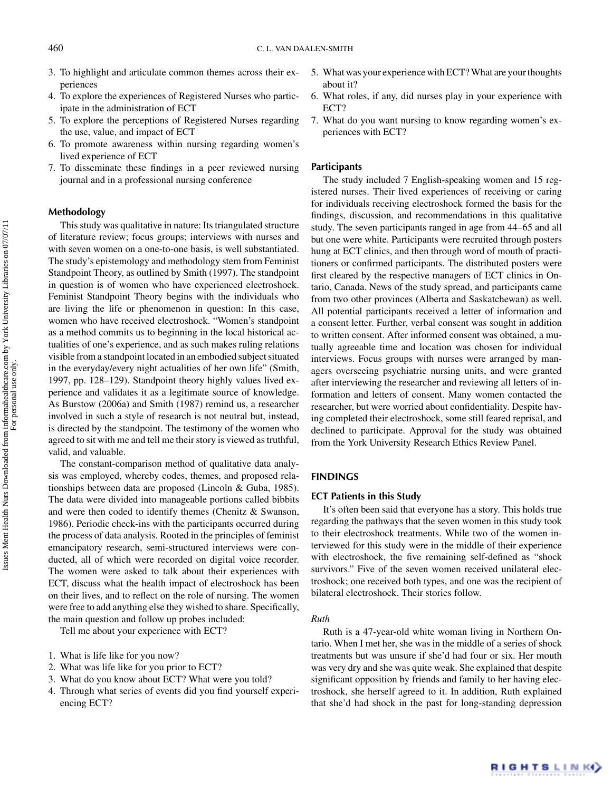- 3. To highlight and articulate common themes across their experiences
- 4. To explore the experiences of Registered Nurses who participate in the administration of ECT
- 5. To explore the perceptions of Registered Nurses regarding the use, value, and impact of ECT
- 6. To promote awareness within nursing regarding women's lived experience of ECT
- 7. To disseminate these findings in a peer reviewed nursing journal and in a professional nursing conference

#### **Methodology**

This study was qualitative in nature: Its triangulated structure of literature review; focus groups; interviews with nurses and with seven women on a one-to-one basis, is well substantiated. The study's epistemology and methodology stem from Feminist Standpoint Theory, as outlined by Smith (1997). The standpoint in question is of women who have experienced electroshock. Feminist Standpoint Theory begins with the individuals who are living the life or phenomenon in question: In this case, women who have received electroshock. "Women's standpoint as a method commits us to beginning in the local historical actualities of one's experience, and as such makes ruling relations visible from a standpoint located in an embodied subject situated in the everyday/every night actualities of her own life" (Smith, 1997, pp. 128–129). Standpoint theory highly values lived experience and validates it as a legitimate source of knowledge. As Burstow (2006a) and Smith (1987) remind us, a researcher involved in such a style of research is not neutral but, instead, is directed by the standpoint. The testimony of the women who agreed to sit with me and tell me their story is viewed as truthful, valid, and valuable.

The constant-comparison method of qualitative data analysis was employed, whereby codes, themes, and proposed relationships between data are proposed (Lincoln & Guba, 1985). The data were divided into manageable portions called bibbits and were then coded to identify themes (Chenitz & Swanson, 1986). Periodic check-ins with the participants occurred during the process of data analysis. Rooted in the principles of feminist emancipatory research, semi-structured interviews were conducted, all of which were recorded on digital voice recorder. The women were asked to talk about their experiences with ECT, discuss what the health impact of electroshock has been on their lives, and to reflect on the role of nursing. The women were free to add anything else they wished to share. Specifically, the main question and follow up probes included:

Tell me about your experience with ECT?

- 1. What is life like for you now?
- 2. What was life like for you prior to ECT?
- 3. What do you know about ECT? What were you told?
- 4. Through what series of events did you find yourself experiencing ECT?
- 5. What was your experience with ECT? What are your thoughts about it?
- 6. What roles, if any, did nurses play in your experience with ECT?
- 7. What do you want nursing to know regarding women's experiences with ECT?

#### **Participants**

The study included 7 English-speaking women and 15 registered nurses. Their lived experiences of receiving or caring for individuals receiving electroshock formed the basis for the findings, discussion, and recommendations in this qualitative study. The seven participants ranged in age from 44–65 and all but one were white. Participants were recruited through posters hung at ECT clinics, and then through word of mouth of practitioners or confirmed participants. The distributed posters were first cleared by the respective managers of ECT clinics in Ontario, Canada. News of the study spread, and participants came from two other provinces (Alberta and Saskatchewan) as well. All potential participants received a letter of information and a consent letter. Further, verbal consent was sought in addition to written consent. After informed consent was obtained, a mutually agreeable time and location was chosen for individual interviews. Focus groups with nurses were arranged by managers overseeing psychiatric nursing units, and were granted after interviewing the researcher and reviewing all letters of information and letters of consent. Many women contacted the researcher, but were worried about confidentiality. Despite having completed their electroshock, some still feared reprisal, and declined to participate. Approval for the study was obtained from the York University Research Ethics Review Panel.

#### **FINDINGS**

### **ECT Patients in this Study**

It's often been said that everyone has a story. This holds true regarding the pathways that the seven women in this study took to their electroshock treatments. While two of the women interviewed for this study were in the middle of their experience with electroshock, the five remaining self-defined as "shock survivors." Five of the seven women received unilateral electroshock; one received both types, and one was the recipient of bilateral electroshock. Their stories follow.

#### *Ruth*

Ruth is a 47-year-old white woman living in Northern Ontario. When I met her, she was in the middle of a series of shock treatments but was unsure if she'd had four or six. Her mouth was very dry and she was quite weak. She explained that despite significant opposition by friends and family to her having electroshock, she herself agreed to it. In addition, Ruth explained that she'd had shock in the past for long-standing depression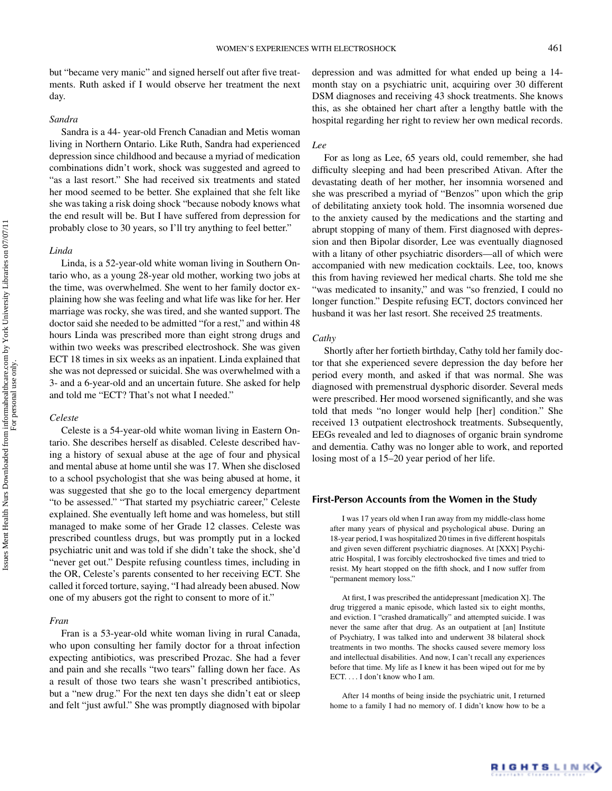but "became very manic" and signed herself out after five treatments. Ruth asked if I would observe her treatment the next day.

## *Sandra*

Sandra is a 44- year-old French Canadian and Metis woman living in Northern Ontario. Like Ruth, Sandra had experienced depression since childhood and because a myriad of medication combinations didn't work, shock was suggested and agreed to "as a last resort." She had received six treatments and stated her mood seemed to be better. She explained that she felt like she was taking a risk doing shock "because nobody knows what the end result will be. But I have suffered from depression for probably close to 30 years, so I'll try anything to feel better."

#### *Linda*

Linda, is a 52-year-old white woman living in Southern Ontario who, as a young 28-year old mother, working two jobs at the time, was overwhelmed. She went to her family doctor explaining how she was feeling and what life was like for her. Her marriage was rocky, she was tired, and she wanted support. The doctor said she needed to be admitted "for a rest," and within 48 hours Linda was prescribed more than eight strong drugs and within two weeks was prescribed electroshock. She was given ECT 18 times in six weeks as an inpatient. Linda explained that she was not depressed or suicidal. She was overwhelmed with a 3- and a 6-year-old and an uncertain future. She asked for help and told me "ECT? That's not what I needed."

#### *Celeste*

Celeste is a 54-year-old white woman living in Eastern Ontario. She describes herself as disabled. Celeste described having a history of sexual abuse at the age of four and physical and mental abuse at home until she was 17. When she disclosed to a school psychologist that she was being abused at home, it was suggested that she go to the local emergency department "to be assessed." "That started my psychiatric career," Celeste explained. She eventually left home and was homeless, but still managed to make some of her Grade 12 classes. Celeste was prescribed countless drugs, but was promptly put in a locked psychiatric unit and was told if she didn't take the shock, she'd "never get out." Despite refusing countless times, including in the OR, Celeste's parents consented to her receiving ECT. She called it forced torture, saying, "I had already been abused. Now one of my abusers got the right to consent to more of it."

#### *Fran*

Fran is a 53-year-old white woman living in rural Canada, who upon consulting her family doctor for a throat infection expecting antibiotics, was prescribed Prozac. She had a fever and pain and she recalls "two tears" falling down her face. As a result of those two tears she wasn't prescribed antibiotics, but a "new drug." For the next ten days she didn't eat or sleep and felt "just awful." She was promptly diagnosed with bipolar depression and was admitted for what ended up being a 14 month stay on a psychiatric unit, acquiring over 30 different DSM diagnoses and receiving 43 shock treatments. She knows this, as she obtained her chart after a lengthy battle with the hospital regarding her right to review her own medical records.

#### *Lee*

For as long as Lee, 65 years old, could remember, she had difficulty sleeping and had been prescribed Ativan. After the devastating death of her mother, her insomnia worsened and she was prescribed a myriad of "Benzos" upon which the grip of debilitating anxiety took hold. The insomnia worsened due to the anxiety caused by the medications and the starting and abrupt stopping of many of them. First diagnosed with depression and then Bipolar disorder, Lee was eventually diagnosed with a litany of other psychiatric disorders—all of which were accompanied with new medication cocktails. Lee, too, knows this from having reviewed her medical charts. She told me she "was medicated to insanity," and was "so frenzied, I could no longer function." Despite refusing ECT, doctors convinced her husband it was her last resort. She received 25 treatments.

#### *Cathy*

Shortly after her fortieth birthday, Cathy told her family doctor that she experienced severe depression the day before her period every month, and asked if that was normal. She was diagnosed with premenstrual dysphoric disorder. Several meds were prescribed. Her mood worsened significantly, and she was told that meds "no longer would help [her] condition." She received 13 outpatient electroshock treatments. Subsequently, EEGs revealed and led to diagnoses of organic brain syndrome and dementia. Cathy was no longer able to work, and reported losing most of a 15–20 year period of her life.

## **First-Person Accounts from the Women in the Study**

I was 17 years old when I ran away from my middle-class home after many years of physical and psychological abuse. During an 18-year period, I was hospitalized 20 times in five different hospitals and given seven different psychiatric diagnoses. At [XXX] Psychiatric Hospital, I was forcibly electroshocked five times and tried to resist. My heart stopped on the fifth shock, and I now suffer from "permanent memory loss."

At first, I was prescribed the antidepressant [medication X]. The drug triggered a manic episode, which lasted six to eight months, and eviction. I "crashed dramatically" and attempted suicide. I was never the same after that drug. As an outpatient at [an] Institute of Psychiatry, I was talked into and underwent 38 bilateral shock treatments in two months. The shocks caused severe memory loss and intellectual disabilities. And now, I can't recall any experiences before that time. My life as I knew it has been wiped out for me by ECT. *...* I don't know who I am.

After 14 months of being inside the psychiatric unit, I returned home to a family I had no memory of. I didn't know how to be a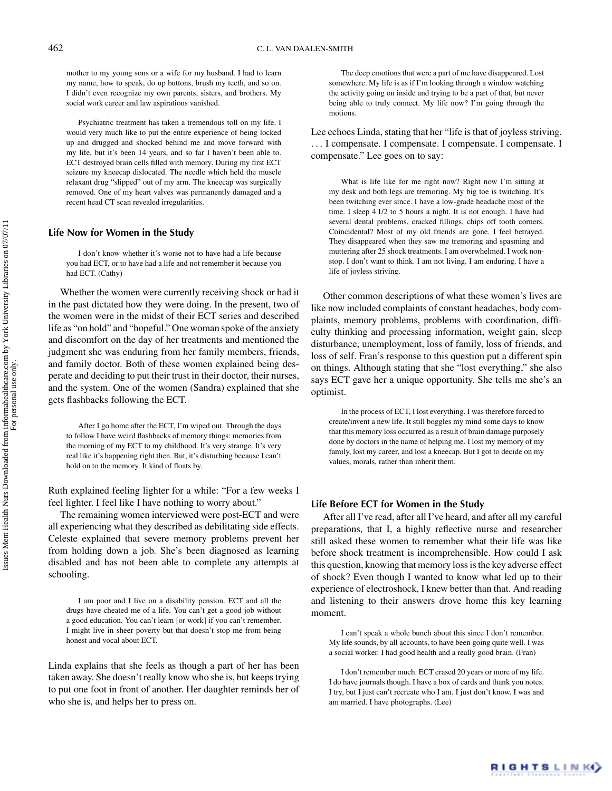mother to my young sons or a wife for my husband. I had to learn my name, how to speak, do up buttons, brush my teeth, and so on. I didn't even recognize my own parents, sisters, and brothers. My social work career and law aspirations vanished.

Psychiatric treatment has taken a tremendous toll on my life. I would very much like to put the entire experience of being locked up and drugged and shocked behind me and move forward with my life, but it's been 14 years, and so far I haven't been able to. ECT destroyed brain cells filled with memory. During my first ECT seizure my kneecap dislocated. The needle which held the muscle relaxant drug "slipped" out of my arm. The kneecap was surgically removed. One of my heart valves was permanently damaged and a recent head CT scan revealed irregularities.

#### **Life Now for Women in the Study**

I don't know whether it's worse not to have had a life because you had ECT, or to have had a life and not remember it because you had ECT. (Cathy)

Whether the women were currently receiving shock or had it in the past dictated how they were doing. In the present, two of the women were in the midst of their ECT series and described life as "on hold" and "hopeful." One woman spoke of the anxiety and discomfort on the day of her treatments and mentioned the judgment she was enduring from her family members, friends, and family doctor. Both of these women explained being desperate and deciding to put their trust in their doctor, their nurses, and the system. One of the women (Sandra) explained that she gets flashbacks following the ECT.

After I go home after the ECT, I'm wiped out. Through the days to follow I have weird flashbacks of memory things: memories from the morning of my ECT to my childhood. It's very strange. It's very real like it's happening right then. But, it's disturbing because I can't hold on to the memory. It kind of floats by.

Ruth explained feeling lighter for a while: "For a few weeks I feel lighter. I feel like I have nothing to worry about."

The remaining women interviewed were post-ECT and were all experiencing what they described as debilitating side effects. Celeste explained that severe memory problems prevent her from holding down a job. She's been diagnosed as learning disabled and has not been able to complete any attempts at schooling.

I am poor and I live on a disability pension. ECT and all the drugs have cheated me of a life. You can't get a good job without a good education. You can't learn [or work] if you can't remember. I might live in sheer poverty but that doesn't stop me from being honest and vocal about ECT.

Linda explains that she feels as though a part of her has been taken away. She doesn't really know who she is, but keeps trying to put one foot in front of another. Her daughter reminds her of who she is, and helps her to press on.

The deep emotions that were a part of me have disappeared. Lost somewhere. My life is as if I'm looking through a window watching the activity going on inside and trying to be a part of that, but never being able to truly connect. My life now? I'm going through the motions.

Lee echoes Linda, stating that her "life is that of joyless striving. *...* I compensate. I compensate. I compensate. I compensate. I compensate." Lee goes on to say:

What is life like for me right now? Right now I'm sitting at my desk and both legs are tremoring. My big toe is twitching. It's been twitching ever since. I have a low-grade headache most of the time. I sleep 4 1/2 to 5 hours a night. It is not enough. I have had several dental problems, cracked fillings, chips off tooth corners. Coincidental? Most of my old friends are gone. I feel betrayed. They disappeared when they saw me tremoring and spasming and muttering after 25 shock treatments. I am overwhelmed. I work nonstop. I don't want to think. I am not living. I am enduring. I have a life of joyless striving.

Other common descriptions of what these women's lives are like now included complaints of constant headaches, body complaints, memory problems, problems with coordination, difficulty thinking and processing information, weight gain, sleep disturbance, unemployment, loss of family, loss of friends, and loss of self. Fran's response to this question put a different spin on things. Although stating that she "lost everything," she also says ECT gave her a unique opportunity. She tells me she's an optimist.

In the process of ECT, I lost everything. I was therefore forced to create/invent a new life. It still boggles my mind some days to know that this memory loss occurred as a result of brain damage purposely done by doctors in the name of helping me. I lost my memory of my family, lost my career, and lost a kneecap. But I got to decide on my values, morals, rather than inherit them.

#### **Life Before ECT for Women in the Study**

After all I've read, after all I've heard, and after all my careful preparations, that I, a highly reflective nurse and researcher still asked these women to remember what their life was like before shock treatment is incomprehensible. How could I ask this question, knowing that memory loss is the key adverse effect of shock? Even though I wanted to know what led up to their experience of electroshock, I knew better than that. And reading and listening to their answers drove home this key learning moment.

I can't speak a whole bunch about this since I don't remember. My life sounds, by all accounts, to have been going quite well. I was a social worker. I had good health and a really good brain. (Fran)

I don't remember much. ECT erased 20 years or more of my life. I do have journals though. I have a box of cards and thank you notes. I try, but I just can't recreate who I am. I just don't know. I was and am married. I have photographs. (Lee)

RIGHTS LINKO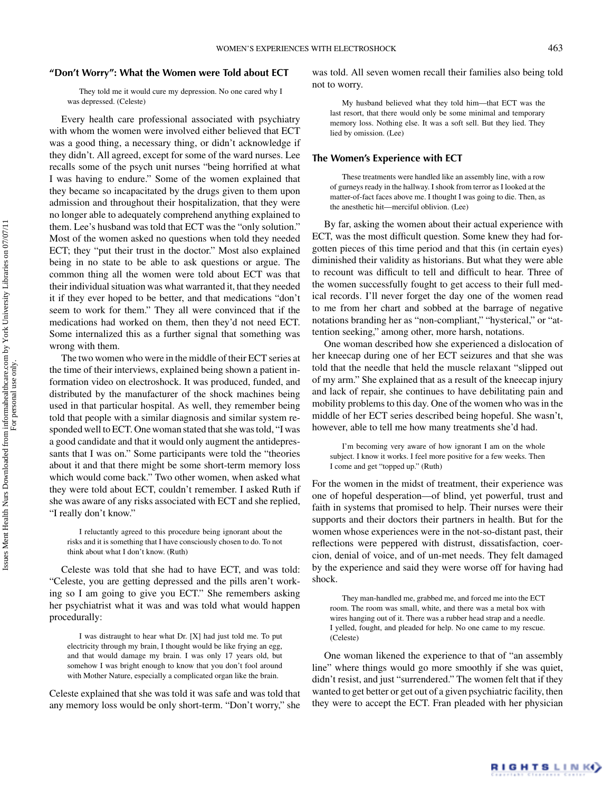#### **"Don't Worry": What the Women were Told about ECT**

They told me it would cure my depression. No one cared why I was depressed. (Celeste)

Every health care professional associated with psychiatry with whom the women were involved either believed that ECT was a good thing, a necessary thing, or didn't acknowledge if they didn't. All agreed, except for some of the ward nurses. Lee recalls some of the psych unit nurses "being horrified at what I was having to endure." Some of the women explained that they became so incapacitated by the drugs given to them upon admission and throughout their hospitalization, that they were no longer able to adequately comprehend anything explained to them. Lee's husband was told that ECT was the "only solution." Most of the women asked no questions when told they needed ECT; they "put their trust in the doctor." Most also explained being in no state to be able to ask questions or argue. The common thing all the women were told about ECT was that their individual situation was what warranted it, that they needed it if they ever hoped to be better, and that medications "don't seem to work for them." They all were convinced that if the medications had worked on them, then they'd not need ECT. Some internalized this as a further signal that something was wrong with them.

The two women who were in the middle of their ECT series at the time of their interviews, explained being shown a patient information video on electroshock. It was produced, funded, and distributed by the manufacturer of the shock machines being used in that particular hospital. As well, they remember being told that people with a similar diagnosis and similar system responded well to ECT. One woman stated that she was told, "I was a good candidate and that it would only augment the antidepressants that I was on." Some participants were told the "theories about it and that there might be some short-term memory loss which would come back." Two other women, when asked what they were told about ECT, couldn't remember. I asked Ruth if she was aware of any risks associated with ECT and she replied, "I really don't know."

I reluctantly agreed to this procedure being ignorant about the risks and it is something that I have consciously chosen to do. To not think about what I don't know. (Ruth)

Celeste was told that she had to have ECT, and was told: "Celeste, you are getting depressed and the pills aren't working so I am going to give you ECT." She remembers asking her psychiatrist what it was and was told what would happen procedurally:

I was distraught to hear what Dr. [X] had just told me. To put electricity through my brain, I thought would be like frying an egg, and that would damage my brain. I was only 17 years old, but somehow I was bright enough to know that you don't fool around with Mother Nature, especially a complicated organ like the brain.

Celeste explained that she was told it was safe and was told that any memory loss would be only short-term. "Don't worry," she was told. All seven women recall their families also being told not to worry.

My husband believed what they told him—that ECT was the last resort, that there would only be some minimal and temporary memory loss. Nothing else. It was a soft sell. But they lied. They lied by omission. (Lee)

## **The Women's Experience with ECT**

These treatments were handled like an assembly line, with a row of gurneys ready in the hallway. I shook from terror as I looked at the matter-of-fact faces above me. I thought I was going to die. Then, as the anesthetic hit—merciful oblivion. (Lee)

By far, asking the women about their actual experience with ECT, was the most difficult question. Some knew they had forgotten pieces of this time period and that this (in certain eyes) diminished their validity as historians. But what they were able to recount was difficult to tell and difficult to hear. Three of the women successfully fought to get access to their full medical records. I'll never forget the day one of the women read to me from her chart and sobbed at the barrage of negative notations branding her as "non-compliant," "hysterical," or "attention seeking," among other, more harsh, notations.

One woman described how she experienced a dislocation of her kneecap during one of her ECT seizures and that she was told that the needle that held the muscle relaxant "slipped out of my arm." She explained that as a result of the kneecap injury and lack of repair, she continues to have debilitating pain and mobility problems to this day. One of the women who was in the middle of her ECT series described being hopeful. She wasn't, however, able to tell me how many treatments she'd had.

I'm becoming very aware of how ignorant I am on the whole subject. I know it works. I feel more positive for a few weeks. Then I come and get "topped up." (Ruth)

For the women in the midst of treatment, their experience was one of hopeful desperation—of blind, yet powerful, trust and faith in systems that promised to help. Their nurses were their supports and their doctors their partners in health. But for the women whose experiences were in the not-so-distant past, their reflections were peppered with distrust, dissatisfaction, coercion, denial of voice, and of un-met needs. They felt damaged by the experience and said they were worse off for having had shock.

They man-handled me, grabbed me, and forced me into the ECT room. The room was small, white, and there was a metal box with wires hanging out of it. There was a rubber head strap and a needle. I yelled, fought, and pleaded for help. No one came to my rescue. (Celeste)

One woman likened the experience to that of "an assembly line" where things would go more smoothly if she was quiet, didn't resist, and just "surrendered." The women felt that if they wanted to get better or get out of a given psychiatric facility, then they were to accept the ECT. Fran pleaded with her physician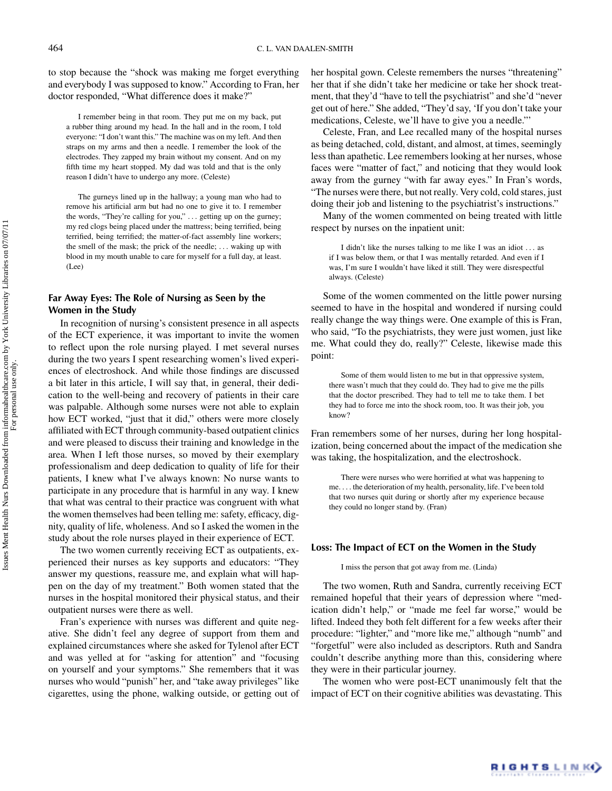to stop because the "shock was making me forget everything and everybody I was supposed to know." According to Fran, her doctor responded, "What difference does it make?"

I remember being in that room. They put me on my back, put a rubber thing around my head. In the hall and in the room, I told everyone: "I don't want this." The machine was on my left. And then straps on my arms and then a needle. I remember the look of the electrodes. They zapped my brain without my consent. And on my fifth time my heart stopped. My dad was told and that is the only reason I didn't have to undergo any more. (Celeste)

The gurneys lined up in the hallway; a young man who had to remove his artificial arm but had no one to give it to. I remember the words, "They're calling for you," *...* getting up on the gurney; my red clogs being placed under the mattress; being terrified, being terrified, being terrified; the matter-of-fact assembly line workers; the smell of the mask; the prick of the needle; *...* waking up with blood in my mouth unable to care for myself for a full day, at least. (Lee)

# **Far Away Eyes: The Role of Nursing as Seen by the Women in the Study**

In recognition of nursing's consistent presence in all aspects of the ECT experience, it was important to invite the women to reflect upon the role nursing played. I met several nurses during the two years I spent researching women's lived experiences of electroshock. And while those findings are discussed a bit later in this article, I will say that, in general, their dedication to the well-being and recovery of patients in their care was palpable. Although some nurses were not able to explain how ECT worked, "just that it did," others were more closely affiliated with ECT through community-based outpatient clinics and were pleased to discuss their training and knowledge in the area. When I left those nurses, so moved by their exemplary professionalism and deep dedication to quality of life for their patients, I knew what I've always known: No nurse wants to participate in any procedure that is harmful in any way. I knew that what was central to their practice was congruent with what the women themselves had been telling me: safety, efficacy, dignity, quality of life, wholeness. And so I asked the women in the study about the role nurses played in their experience of ECT.

The two women currently receiving ECT as outpatients, experienced their nurses as key supports and educators: "They answer my questions, reassure me, and explain what will happen on the day of my treatment." Both women stated that the nurses in the hospital monitored their physical status, and their outpatient nurses were there as well.

Fran's experience with nurses was different and quite negative. She didn't feel any degree of support from them and explained circumstances where she asked for Tylenol after ECT and was yelled at for "asking for attention" and "focusing on yourself and your symptoms." She remembers that it was nurses who would "punish" her, and "take away privileges" like cigarettes, using the phone, walking outside, or getting out of her hospital gown. Celeste remembers the nurses "threatening" her that if she didn't take her medicine or take her shock treatment, that they'd "have to tell the psychiatrist" and she'd "never get out of here." She added, "They'd say, 'If you don't take your medications, Celeste, we'll have to give you a needle."'

Celeste, Fran, and Lee recalled many of the hospital nurses as being detached, cold, distant, and almost, at times, seemingly less than apathetic. Lee remembers looking at her nurses, whose faces were "matter of fact," and noticing that they would look away from the gurney "with far away eyes." In Fran's words, "The nurses were there, but not really. Very cold, cold stares, just doing their job and listening to the psychiatrist's instructions."

Many of the women commented on being treated with little respect by nurses on the inpatient unit:

I didn't like the nurses talking to me like I was an idiot *...* as if I was below them, or that I was mentally retarded. And even if I was, I'm sure I wouldn't have liked it still. They were disrespectful always. (Celeste)

Some of the women commented on the little power nursing seemed to have in the hospital and wondered if nursing could really change the way things were. One example of this is Fran, who said, "To the psychiatrists, they were just women, just like me. What could they do, really?" Celeste, likewise made this point:

Some of them would listen to me but in that oppressive system, there wasn't much that they could do. They had to give me the pills that the doctor prescribed. They had to tell me to take them. I bet they had to force me into the shock room, too. It was their job, you know?

Fran remembers some of her nurses, during her long hospitalization, being concerned about the impact of the medication she was taking, the hospitalization, and the electroshock.

There were nurses who were horrified at what was happening to me. *...* the deterioration of my health, personality, life. I've been told that two nurses quit during or shortly after my experience because they could no longer stand by. (Fran)

#### **Loss: The Impact of ECT on the Women in the Study**

I miss the person that got away from me. (Linda)

The two women, Ruth and Sandra, currently receiving ECT remained hopeful that their years of depression where "medication didn't help," or "made me feel far worse," would be lifted. Indeed they both felt different for a few weeks after their procedure: "lighter," and "more like me," although "numb" and "forgetful" were also included as descriptors. Ruth and Sandra couldn't describe anything more than this, considering where they were in their particular journey.

The women who were post-ECT unanimously felt that the impact of ECT on their cognitive abilities was devastating. This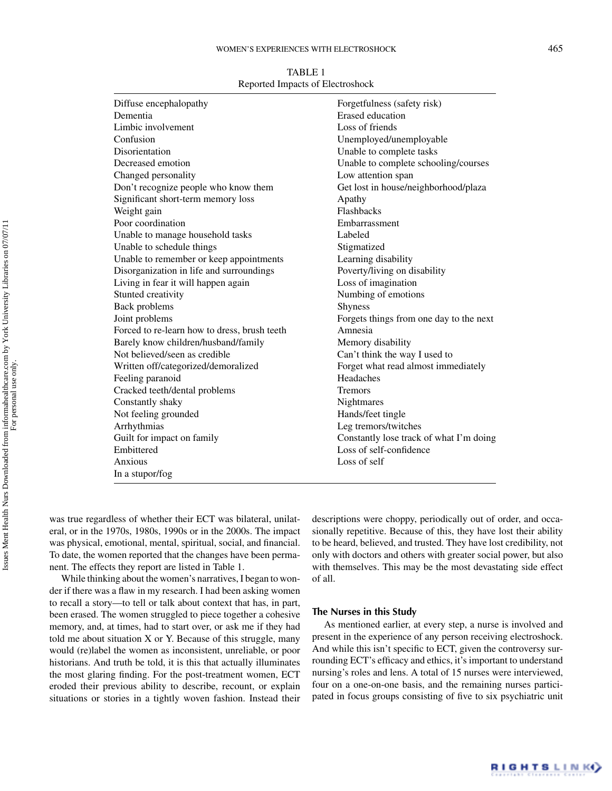| TABLE 1                          |
|----------------------------------|
| Reported Impacts of Electroshock |

| Diffuse encephalopathy                       | Forgetfulness (safety risk)             |
|----------------------------------------------|-----------------------------------------|
| Dementia                                     | <b>Erased</b> education                 |
| Limbic involvement                           | Loss of friends                         |
| Confusion                                    | Unemployed/unemployable                 |
| Disorientation                               | Unable to complete tasks                |
| Decreased emotion                            | Unable to complete schooling/courses    |
| Changed personality                          | Low attention span                      |
| Don't recognize people who know them         | Get lost in house/neighborhood/plaza    |
| Significant short-term memory loss           | Apathy                                  |
| Weight gain                                  | Flashbacks                              |
| Poor coordination                            | Embarrassment                           |
| Unable to manage household tasks             | Labeled                                 |
| Unable to schedule things                    | Stigmatized                             |
| Unable to remember or keep appointments      | Learning disability                     |
| Disorganization in life and surroundings     | Poverty/living on disability            |
| Living in fear it will happen again          | Loss of imagination                     |
| Stunted creativity                           | Numbing of emotions                     |
| Back problems                                | Shyness                                 |
| Joint problems                               | Forgets things from one day to the next |
| Forced to re-learn how to dress, brush teeth | Amnesia                                 |
| Barely know children/husband/family          | Memory disability                       |
| Not believed/seen as credible                | Can't think the way I used to           |
| Written off/categorized/demoralized          | Forget what read almost immediately     |
| Feeling paranoid                             | Headaches                               |
| Cracked teeth/dental problems                | <b>Tremors</b>                          |
| Constantly shaky                             | Nightmares                              |
| Not feeling grounded                         | Hands/feet tingle                       |
| Arrhythmias                                  | Leg tremors/twitches                    |
| Guilt for impact on family                   | Constantly lose track of what I'm doing |
| Embittered                                   | Loss of self-confidence                 |
| Anxious                                      | Loss of self                            |
| In a stupor/fog                              |                                         |
|                                              |                                         |

was true regardless of whether their ECT was bilateral, unilateral, or in the 1970s, 1980s, 1990s or in the 2000s. The impact was physical, emotional, mental, spiritual, social, and financial. To date, the women reported that the changes have been permanent. The effects they report are listed in Table 1.

While thinking about the women's narratives, I began to wonder if there was a flaw in my research. I had been asking women to recall a story—to tell or talk about context that has, in part, been erased. The women struggled to piece together a cohesive memory, and, at times, had to start over, or ask me if they had told me about situation X or Y. Because of this struggle, many would (re)label the women as inconsistent, unreliable, or poor historians. And truth be told, it is this that actually illuminates the most glaring finding. For the post-treatment women, ECT eroded their previous ability to describe, recount, or explain situations or stories in a tightly woven fashion. Instead their

descriptions were choppy, periodically out of order, and occasionally repetitive. Because of this, they have lost their ability to be heard, believed, and trusted. They have lost credibility, not only with doctors and others with greater social power, but also with themselves. This may be the most devastating side effect of all.

#### **The Nurses in this Study**

As mentioned earlier, at every step, a nurse is involved and present in the experience of any person receiving electroshock. And while this isn't specific to ECT, given the controversy surrounding ECT's efficacy and ethics, it's important to understand nursing's roles and lens. A total of 15 nurses were interviewed, four on a one-on-one basis, and the remaining nurses participated in focus groups consisting of five to six psychiatric unit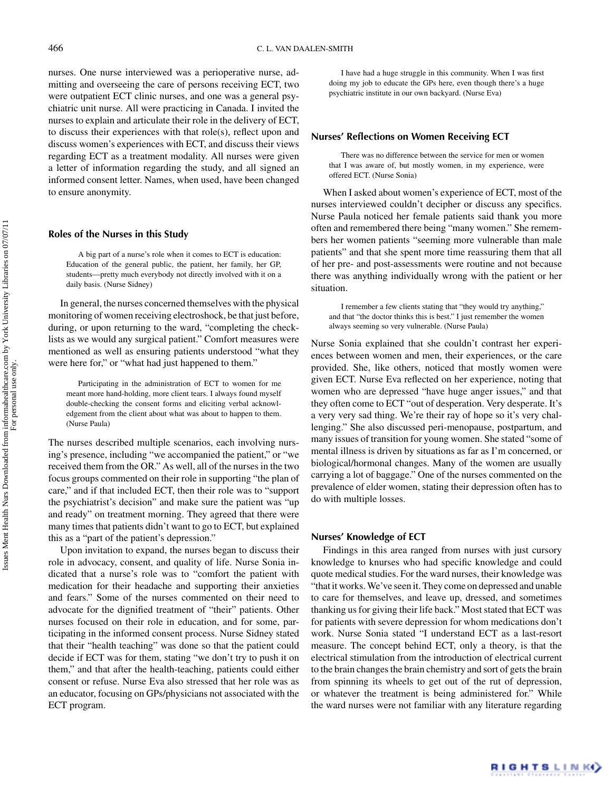nurses. One nurse interviewed was a perioperative nurse, admitting and overseeing the care of persons receiving ECT, two were outpatient ECT clinic nurses, and one was a general psychiatric unit nurse. All were practicing in Canada. I invited the nurses to explain and articulate their role in the delivery of ECT, to discuss their experiences with that role(s), reflect upon and discuss women's experiences with ECT, and discuss their views regarding ECT as a treatment modality. All nurses were given a letter of information regarding the study, and all signed an informed consent letter. Names, when used, have been changed to ensure anonymity.

#### **Roles of the Nurses in this Study**

A big part of a nurse's role when it comes to ECT is education: Education of the general public, the patient, her family, her GP, students—pretty much everybody not directly involved with it on a daily basis. (Nurse Sidney)

In general, the nurses concerned themselves with the physical monitoring of women receiving electroshock, be that just before, during, or upon returning to the ward, "completing the checklists as we would any surgical patient." Comfort measures were mentioned as well as ensuring patients understood "what they were here for," or "what had just happened to them."

Participating in the administration of ECT to women for me meant more hand-holding, more client tears. I always found myself double-checking the consent forms and eliciting verbal acknowledgement from the client about what was about to happen to them. (Nurse Paula)

The nurses described multiple scenarios, each involving nursing's presence, including "we accompanied the patient," or "we received them from the OR." As well, all of the nurses in the two focus groups commented on their role in supporting "the plan of care," and if that included ECT, then their role was to "support the psychiatrist's decision" and make sure the patient was "up and ready" on treatment morning. They agreed that there were many times that patients didn't want to go to ECT, but explained this as a "part of the patient's depression."

Upon invitation to expand, the nurses began to discuss their role in advocacy, consent, and quality of life. Nurse Sonia indicated that a nurse's role was to "comfort the patient with medication for their headache and supporting their anxieties and fears." Some of the nurses commented on their need to advocate for the dignified treatment of "their" patients. Other nurses focused on their role in education, and for some, participating in the informed consent process. Nurse Sidney stated that their "health teaching" was done so that the patient could decide if ECT was for them, stating "we don't try to push it on them," and that after the health-teaching, patients could either consent or refuse. Nurse Eva also stressed that her role was as an educator, focusing on GPs/physicians not associated with the ECT program.

I have had a huge struggle in this community. When I was first doing my job to educate the GPs here, even though there's a huge psychiatric institute in our own backyard. (Nurse Eva)

## **Nurses' Reflections on Women Receiving ECT**

There was no difference between the service for men or women that I was aware of, but mostly women, in my experience, were offered ECT. (Nurse Sonia)

When I asked about women's experience of ECT, most of the nurses interviewed couldn't decipher or discuss any specifics. Nurse Paula noticed her female patients said thank you more often and remembered there being "many women." She remembers her women patients "seeming more vulnerable than male patients" and that she spent more time reassuring them that all of her pre- and post-assessments were routine and not because there was anything individually wrong with the patient or her situation.

I remember a few clients stating that "they would try anything," and that "the doctor thinks this is best." I just remember the women always seeming so very vulnerable. (Nurse Paula)

Nurse Sonia explained that she couldn't contrast her experiences between women and men, their experiences, or the care provided. She, like others, noticed that mostly women were given ECT. Nurse Eva reflected on her experience, noting that women who are depressed "have huge anger issues," and that they often come to ECT "out of desperation. Very desperate. It's a very very sad thing. We're their ray of hope so it's very challenging." She also discussed peri-menopause, postpartum, and many issues of transition for young women. She stated "some of mental illness is driven by situations as far as I'm concerned, or biological/hormonal changes. Many of the women are usually carrying a lot of baggage." One of the nurses commented on the prevalence of elder women, stating their depression often has to do with multiple losses.

## **Nurses' Knowledge of ECT**

Findings in this area ranged from nurses with just cursory knowledge to knurses who had specific knowledge and could quote medical studies. For the ward nurses, their knowledge was "that it works. We've seen it. They come on depressed and unable to care for themselves, and leave up, dressed, and sometimes thanking us for giving their life back." Most stated that ECT was for patients with severe depression for whom medications don't work. Nurse Sonia stated "I understand ECT as a last-resort measure. The concept behind ECT, only a theory, is that the electrical stimulation from the introduction of electrical current to the brain changes the brain chemistry and sort of gets the brain from spinning its wheels to get out of the rut of depression, or whatever the treatment is being administered for." While the ward nurses were not familiar with any literature regarding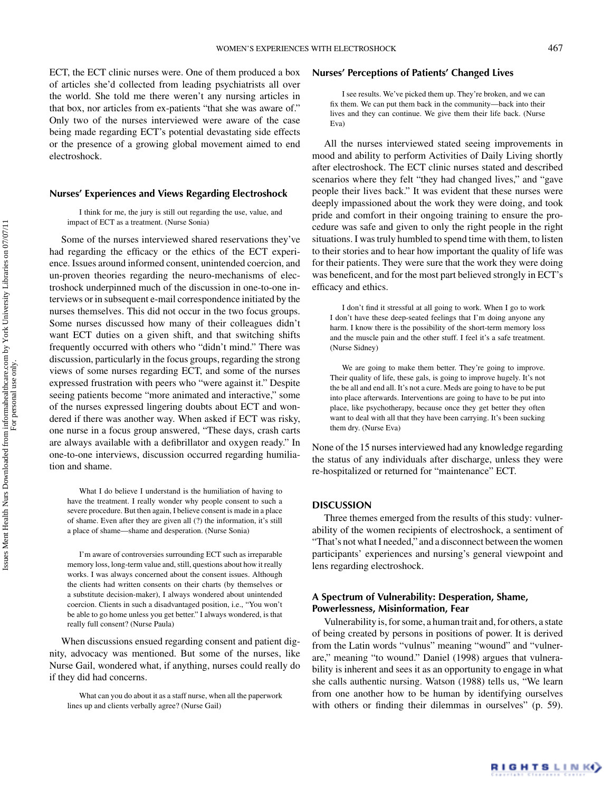ECT, the ECT clinic nurses were. One of them produced a box of articles she'd collected from leading psychiatrists all over the world. She told me there weren't any nursing articles in that box, nor articles from ex-patients "that she was aware of." Only two of the nurses interviewed were aware of the case being made regarding ECT's potential devastating side effects or the presence of a growing global movement aimed to end electroshock.

## **Nurses' Experiences and Views Regarding Electroshock**

I think for me, the jury is still out regarding the use, value, and impact of ECT as a treatment. (Nurse Sonia)

Some of the nurses interviewed shared reservations they've had regarding the efficacy or the ethics of the ECT experience. Issues around informed consent, unintended coercion, and un-proven theories regarding the neuro-mechanisms of electroshock underpinned much of the discussion in one-to-one interviews or in subsequent e-mail correspondence initiated by the nurses themselves. This did not occur in the two focus groups. Some nurses discussed how many of their colleagues didn't want ECT duties on a given shift, and that switching shifts frequently occurred with others who "didn't mind." There was discussion, particularly in the focus groups, regarding the strong views of some nurses regarding ECT, and some of the nurses expressed frustration with peers who "were against it." Despite seeing patients become "more animated and interactive," some of the nurses expressed lingering doubts about ECT and wondered if there was another way. When asked if ECT was risky, one nurse in a focus group answered, "These days, crash carts are always available with a defibrillator and oxygen ready." In one-to-one interviews, discussion occurred regarding humiliation and shame.

What I do believe I understand is the humiliation of having to have the treatment. I really wonder why people consent to such a severe procedure. But then again, I believe consent is made in a place of shame. Even after they are given all (?) the information, it's still a place of shame—shame and desperation. (Nurse Sonia)

I'm aware of controversies surrounding ECT such as irreparable memory loss, long-term value and, still, questions about how it really works. I was always concerned about the consent issues. Although the clients had written consents on their charts (by themselves or a substitute decision-maker), I always wondered about unintended coercion. Clients in such a disadvantaged position, i.e., "You won't be able to go home unless you get better." I always wondered, is that really full consent? (Nurse Paula)

When discussions ensued regarding consent and patient dignity, advocacy was mentioned. But some of the nurses, like Nurse Gail, wondered what, if anything, nurses could really do if they did had concerns.

## **Nurses' Perceptions of Patients' Changed Lives**

I see results. We've picked them up. They're broken, and we can fix them. We can put them back in the community—back into their lives and they can continue. We give them their life back. (Nurse Eva)

All the nurses interviewed stated seeing improvements in mood and ability to perform Activities of Daily Living shortly after electroshock. The ECT clinic nurses stated and described scenarios where they felt "they had changed lives," and "gave people their lives back." It was evident that these nurses were deeply impassioned about the work they were doing, and took pride and comfort in their ongoing training to ensure the procedure was safe and given to only the right people in the right situations. I was truly humbled to spend time with them, to listen to their stories and to hear how important the quality of life was for their patients. They were sure that the work they were doing was beneficent, and for the most part believed strongly in ECT's efficacy and ethics.

I don't find it stressful at all going to work. When I go to work I don't have these deep-seated feelings that I'm doing anyone any harm. I know there is the possibility of the short-term memory loss and the muscle pain and the other stuff. I feel it's a safe treatment. (Nurse Sidney)

We are going to make them better. They're going to improve. Their quality of life, these gals, is going to improve hugely. It's not the be all and end all. It's not a cure. Meds are going to have to be put into place afterwards. Interventions are going to have to be put into place, like psychotherapy, because once they get better they often want to deal with all that they have been carrying. It's been sucking them dry. (Nurse Eva)

None of the 15 nurses interviewed had any knowledge regarding the status of any individuals after discharge, unless they were re-hospitalized or returned for "maintenance" ECT.

#### **DISCUSSION**

Three themes emerged from the results of this study: vulnerability of the women recipients of electroshock, a sentiment of "That's not what I needed," and a disconnect between the women participants' experiences and nursing's general viewpoint and lens regarding electroshock.

# **A Spectrum of Vulnerability: Desperation, Shame, Powerlessness, Misinformation, Fear**

Vulnerability is, for some, a human trait and, for others, a state of being created by persons in positions of power. It is derived from the Latin words "vulnus" meaning "wound" and "vulnerare," meaning "to wound." Daniel (1998) argues that vulnerability is inherent and sees it as an opportunity to engage in what she calls authentic nursing. Watson (1988) tells us, "We learn from one another how to be human by identifying ourselves with others or finding their dilemmas in ourselves" (p. 59).

For personal use only.

What can you do about it as a staff nurse, when all the paperwork lines up and clients verbally agree? (Nurse Gail)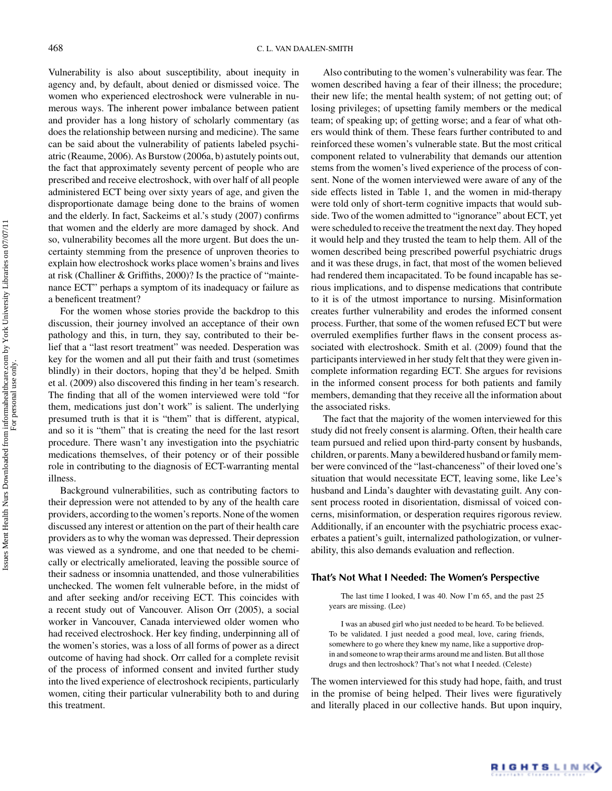Vulnerability is also about susceptibility, about inequity in agency and, by default, about denied or dismissed voice. The women who experienced electroshock were vulnerable in numerous ways. The inherent power imbalance between patient and provider has a long history of scholarly commentary (as does the relationship between nursing and medicine). The same can be said about the vulnerability of patients labeled psychiatric (Reaume, 2006). As Burstow (2006a, b) astutely points out, the fact that approximately seventy percent of people who are prescribed and receive electroshock, with over half of all people administered ECT being over sixty years of age, and given the disproportionate damage being done to the brains of women and the elderly. In fact, Sackeims et al.'s study (2007) confirms that women and the elderly are more damaged by shock. And so, vulnerability becomes all the more urgent. But does the uncertainty stemming from the presence of unproven theories to explain how electroshock works place women's brains and lives at risk (Challiner & Griffiths, 2000)? Is the practice of "maintenance ECT" perhaps a symptom of its inadequacy or failure as a beneficent treatment?

For the women whose stories provide the backdrop to this discussion, their journey involved an acceptance of their own pathology and this, in turn, they say, contributed to their belief that a "last resort treatment" was needed. Desperation was key for the women and all put their faith and trust (sometimes blindly) in their doctors, hoping that they'd be helped. Smith et al. (2009) also discovered this finding in her team's research. The finding that all of the women interviewed were told "for them, medications just don't work" is salient. The underlying presumed truth is that it is "them" that is different, atypical, and so it is "them" that is creating the need for the last resort procedure. There wasn't any investigation into the psychiatric medications themselves, of their potency or of their possible role in contributing to the diagnosis of ECT-warranting mental illness.

Background vulnerabilities, such as contributing factors to their depression were not attended to by any of the health care providers, according to the women's reports. None of the women discussed any interest or attention on the part of their health care providers as to why the woman was depressed. Their depression was viewed as a syndrome, and one that needed to be chemically or electrically ameliorated, leaving the possible source of their sadness or insomnia unattended, and those vulnerabilities unchecked. The women felt vulnerable before, in the midst of and after seeking and/or receiving ECT. This coincides with a recent study out of Vancouver. Alison Orr (2005), a social worker in Vancouver, Canada interviewed older women who had received electroshock. Her key finding, underpinning all of the women's stories, was a loss of all forms of power as a direct outcome of having had shock. Orr called for a complete revisit of the process of informed consent and invited further study into the lived experience of electroshock recipients, particularly women, citing their particular vulnerability both to and during this treatment.

Also contributing to the women's vulnerability was fear. The women described having a fear of their illness; the procedure; their new life; the mental health system; of not getting out; of losing privileges; of upsetting family members or the medical team; of speaking up; of getting worse; and a fear of what others would think of them. These fears further contributed to and reinforced these women's vulnerable state. But the most critical component related to vulnerability that demands our attention stems from the women's lived experience of the process of consent. None of the women interviewed were aware of any of the side effects listed in Table 1, and the women in mid-therapy were told only of short-term cognitive impacts that would subside. Two of the women admitted to "ignorance" about ECT, yet were scheduled to receive the treatment the next day. They hoped it would help and they trusted the team to help them. All of the women described being prescribed powerful psychiatric drugs and it was these drugs, in fact, that most of the women believed had rendered them incapacitated. To be found incapable has serious implications, and to dispense medications that contribute to it is of the utmost importance to nursing. Misinformation creates further vulnerability and erodes the informed consent process. Further, that some of the women refused ECT but were overruled exemplifies further flaws in the consent process associated with electroshock. Smith et al. (2009) found that the participants interviewed in her study felt that they were given incomplete information regarding ECT. She argues for revisions in the informed consent process for both patients and family members, demanding that they receive all the information about the associated risks.

The fact that the majority of the women interviewed for this study did not freely consent is alarming. Often, their health care team pursued and relied upon third-party consent by husbands, children, or parents. Many a bewildered husband or family member were convinced of the "last-chanceness" of their loved one's situation that would necessitate ECT, leaving some, like Lee's husband and Linda's daughter with devastating guilt. Any consent process rooted in disorientation, dismissal of voiced concerns, misinformation, or desperation requires rigorous review. Additionally, if an encounter with the psychiatric process exacerbates a patient's guilt, internalized pathologization, or vulnerability, this also demands evaluation and reflection.

#### **That's Not What I Needed: The Women's Perspective**

The last time I looked, I was 40. Now I'm 65, and the past 25 years are missing. (Lee)

I was an abused girl who just needed to be heard. To be believed. To be validated. I just needed a good meal, love, caring friends, somewhere to go where they knew my name, like a supportive dropin and someone to wrap their arms around me and listen. But all those drugs and then lectroshock? That's not what I needed. (Celeste)

The women interviewed for this study had hope, faith, and trust in the promise of being helped. Their lives were figuratively and literally placed in our collective hands. But upon inquiry,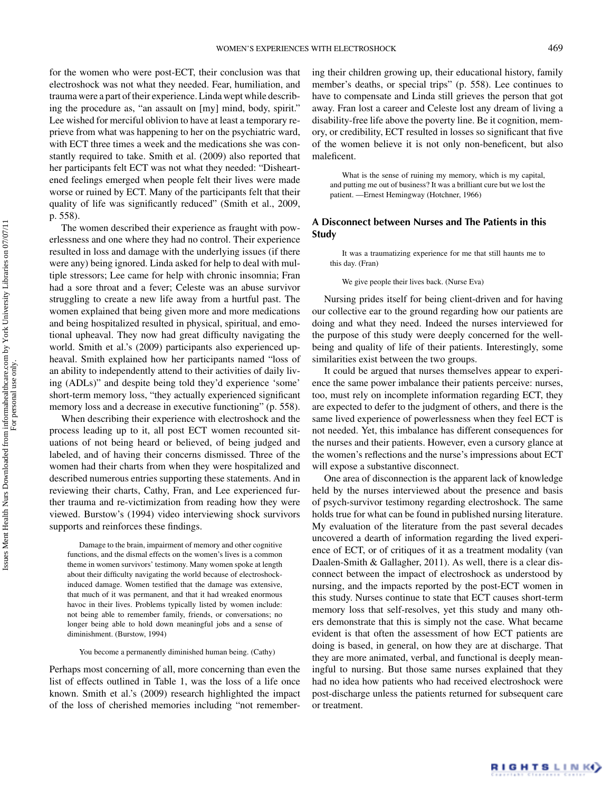for the women who were post-ECT, their conclusion was that electroshock was not what they needed. Fear, humiliation, and trauma were a part of their experience. Linda wept while describing the procedure as, "an assault on [my] mind, body, spirit." Lee wished for merciful oblivion to have at least a temporary reprieve from what was happening to her on the psychiatric ward, with ECT three times a week and the medications she was constantly required to take. Smith et al. (2009) also reported that her participants felt ECT was not what they needed: "Disheartened feelings emerged when people felt their lives were made worse or ruined by ECT. Many of the participants felt that their quality of life was significantly reduced" (Smith et al., 2009, p. 558).

The women described their experience as fraught with powerlessness and one where they had no control. Their experience resulted in loss and damage with the underlying issues (if there were any) being ignored. Linda asked for help to deal with multiple stressors; Lee came for help with chronic insomnia; Fran had a sore throat and a fever; Celeste was an abuse survivor struggling to create a new life away from a hurtful past. The women explained that being given more and more medications and being hospitalized resulted in physical, spiritual, and emotional upheaval. They now had great difficulty navigating the world. Smith et al.'s (2009) participants also experienced upheaval. Smith explained how her participants named "loss of an ability to independently attend to their activities of daily living (ADLs)" and despite being told they'd experience 'some' short-term memory loss, "they actually experienced significant memory loss and a decrease in executive functioning" (p. 558).

When describing their experience with electroshock and the process leading up to it, all post ECT women recounted situations of not being heard or believed, of being judged and labeled, and of having their concerns dismissed. Three of the women had their charts from when they were hospitalized and described numerous entries supporting these statements. And in reviewing their charts, Cathy, Fran, and Lee experienced further trauma and re-victimization from reading how they were viewed. Burstow's (1994) video interviewing shock survivors supports and reinforces these findings.

Damage to the brain, impairment of memory and other cognitive functions, and the dismal effects on the women's lives is a common theme in women survivors' testimony. Many women spoke at length about their difficulty navigating the world because of electroshockinduced damage. Women testified that the damage was extensive, that much of it was permanent, and that it had wreaked enormous havoc in their lives. Problems typically listed by women include: not being able to remember family, friends, or conversations; no longer being able to hold down meaningful jobs and a sense of diminishment. (Burstow, 1994)

You become a permanently diminished human being. (Cathy)

Perhaps most concerning of all, more concerning than even the list of effects outlined in Table 1, was the loss of a life once known. Smith et al.'s (2009) research highlighted the impact of the loss of cherished memories including "not remembering their children growing up, their educational history, family member's deaths, or special trips" (p. 558). Lee continues to have to compensate and Linda still grieves the person that got away. Fran lost a career and Celeste lost any dream of living a disability-free life above the poverty line. Be it cognition, memory, or credibility, ECT resulted in losses so significant that five of the women believe it is not only non-beneficent, but also maleficent.

What is the sense of ruining my memory, which is my capital, and putting me out of business? It was a brilliant cure but we lost the patient. —Ernest Hemingway (Hotchner, 1966)

# **A Disconnect between Nurses and The Patients in this Study**

It was a traumatizing experience for me that still haunts me to this day. (Fran)

We give people their lives back. (Nurse Eva)

Nursing prides itself for being client-driven and for having our collective ear to the ground regarding how our patients are doing and what they need. Indeed the nurses interviewed for the purpose of this study were deeply concerned for the wellbeing and quality of life of their patients. Interestingly, some similarities exist between the two groups.

It could be argued that nurses themselves appear to experience the same power imbalance their patients perceive: nurses, too, must rely on incomplete information regarding ECT, they are expected to defer to the judgment of others, and there is the same lived experience of powerlessness when they feel ECT is not needed. Yet, this imbalance has different consequences for the nurses and their patients. However, even a cursory glance at the women's reflections and the nurse's impressions about ECT will expose a substantive disconnect.

One area of disconnection is the apparent lack of knowledge held by the nurses interviewed about the presence and basis of psych-survivor testimony regarding electroshock. The same holds true for what can be found in published nursing literature. My evaluation of the literature from the past several decades uncovered a dearth of information regarding the lived experience of ECT, or of critiques of it as a treatment modality (van Daalen-Smith & Gallagher, 2011). As well, there is a clear disconnect between the impact of electroshock as understood by nursing, and the impacts reported by the post-ECT women in this study. Nurses continue to state that ECT causes short-term memory loss that self-resolves, yet this study and many others demonstrate that this is simply not the case. What became evident is that often the assessment of how ECT patients are doing is based, in general, on how they are at discharge. That they are more animated, verbal, and functional is deeply meaningful to nursing. But those same nurses explained that they had no idea how patients who had received electroshock were post-discharge unless the patients returned for subsequent care or treatment.

For personal use only.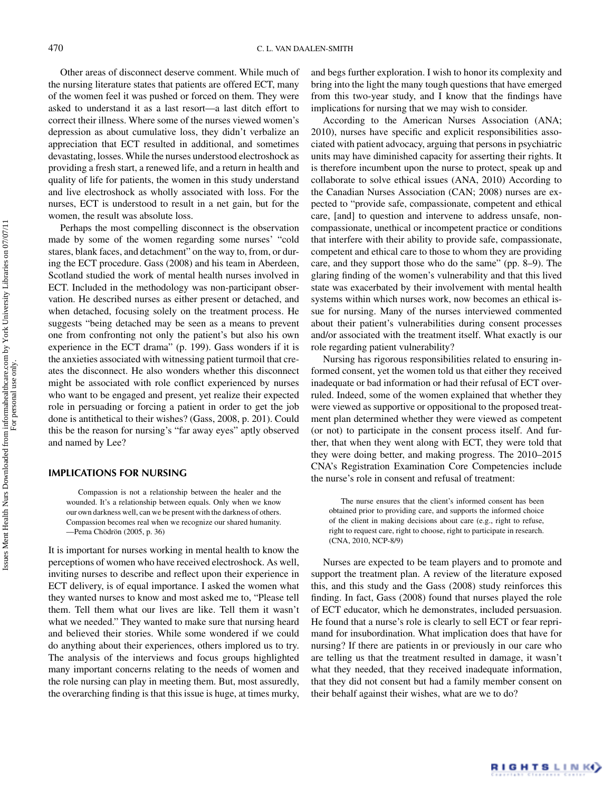Other areas of disconnect deserve comment. While much of the nursing literature states that patients are offered ECT, many of the women feel it was pushed or forced on them. They were asked to understand it as a last resort—a last ditch effort to correct their illness. Where some of the nurses viewed women's depression as about cumulative loss, they didn't verbalize an appreciation that ECT resulted in additional, and sometimes devastating, losses. While the nurses understood electroshock as providing a fresh start, a renewed life, and a return in health and quality of life for patients, the women in this study understand and live electroshock as wholly associated with loss. For the nurses, ECT is understood to result in a net gain, but for the women, the result was absolute loss.

Perhaps the most compelling disconnect is the observation made by some of the women regarding some nurses' "cold stares, blank faces, and detachment" on the way to, from, or during the ECT procedure. Gass (2008) and his team in Aberdeen, Scotland studied the work of mental health nurses involved in ECT. Included in the methodology was non-participant observation. He described nurses as either present or detached, and when detached, focusing solely on the treatment process. He suggests "being detached may be seen as a means to prevent one from confronting not only the patient's but also his own experience in the ECT drama" (p. 199). Gass wonders if it is the anxieties associated with witnessing patient turmoil that creates the disconnect. He also wonders whether this disconnect might be associated with role conflict experienced by nurses who want to be engaged and present, yet realize their expected role in persuading or forcing a patient in order to get the job done is antithetical to their wishes? (Gass, 2008, p. 201). Could this be the reason for nursing's "far away eyes" aptly observed and named by Lee?

## **IMPLICATIONS FOR NURSING**

Compassion is not a relationship between the healer and the wounded. It's a relationship between equals. Only when we know our own darkness well, can we be present with the darkness of others. Compassion becomes real when we recognize our shared humanity. —Pema Chödrön (2005, p. 36)

It is important for nurses working in mental health to know the perceptions of women who have received electroshock. As well, inviting nurses to describe and reflect upon their experience in ECT delivery, is of equal importance. I asked the women what they wanted nurses to know and most asked me to, "Please tell them. Tell them what our lives are like. Tell them it wasn't what we needed." They wanted to make sure that nursing heard and believed their stories. While some wondered if we could do anything about their experiences, others implored us to try. The analysis of the interviews and focus groups highlighted many important concerns relating to the needs of women and the role nursing can play in meeting them. But, most assuredly, the overarching finding is that this issue is huge, at times murky,

and begs further exploration. I wish to honor its complexity and bring into the light the many tough questions that have emerged from this two-year study, and I know that the findings have implications for nursing that we may wish to consider.

According to the American Nurses Association (ANA; 2010), nurses have specific and explicit responsibilities associated with patient advocacy, arguing that persons in psychiatric units may have diminished capacity for asserting their rights. It is therefore incumbent upon the nurse to protect, speak up and collaborate to solve ethical issues (ANA, 2010) According to the Canadian Nurses Association (CAN; 2008) nurses are expected to "provide safe, compassionate, competent and ethical care, [and] to question and intervene to address unsafe, noncompassionate, unethical or incompetent practice or conditions that interfere with their ability to provide safe, compassionate, competent and ethical care to those to whom they are providing care, and they support those who do the same" (pp. 8–9). The glaring finding of the women's vulnerability and that this lived state was exacerbated by their involvement with mental health systems within which nurses work, now becomes an ethical issue for nursing. Many of the nurses interviewed commented about their patient's vulnerabilities during consent processes and/or associated with the treatment itself. What exactly is our role regarding patient vulnerability?

Nursing has rigorous responsibilities related to ensuring informed consent, yet the women told us that either they received inadequate or bad information or had their refusal of ECT overruled. Indeed, some of the women explained that whether they were viewed as supportive or oppositional to the proposed treatment plan determined whether they were viewed as competent (or not) to participate in the consent process itself. And further, that when they went along with ECT, they were told that they were doing better, and making progress. The 2010–2015 CNA's Registration Examination Core Competencies include the nurse's role in consent and refusal of treatment:

The nurse ensures that the client's informed consent has been obtained prior to providing care, and supports the informed choice of the client in making decisions about care (e.g., right to refuse, right to request care, right to choose, right to participate in research. (CNA, 2010, NCP-8/9)

Nurses are expected to be team players and to promote and support the treatment plan. A review of the literature exposed this, and this study and the Gass (2008) study reinforces this finding. In fact, Gass (2008) found that nurses played the role of ECT educator, which he demonstrates, included persuasion. He found that a nurse's role is clearly to sell ECT or fear reprimand for insubordination. What implication does that have for nursing? If there are patients in or previously in our care who are telling us that the treatment resulted in damage, it wasn't what they needed, that they received inadequate information, that they did not consent but had a family member consent on their behalf against their wishes, what are we to do?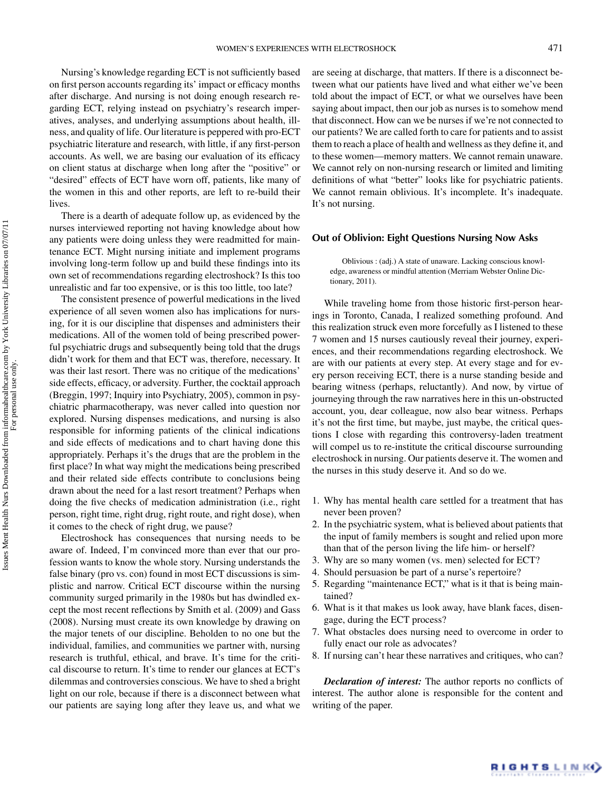Nursing's knowledge regarding ECT is not sufficiently based on first person accounts regarding its' impact or efficacy months after discharge. And nursing is not doing enough research regarding ECT, relying instead on psychiatry's research imperatives, analyses, and underlying assumptions about health, illness, and quality of life. Our literature is peppered with pro-ECT psychiatric literature and research, with little, if any first-person accounts. As well, we are basing our evaluation of its efficacy on client status at discharge when long after the "positive" or "desired" effects of ECT have worn off, patients, like many of the women in this and other reports, are left to re-build their lives.

There is a dearth of adequate follow up, as evidenced by the nurses interviewed reporting not having knowledge about how any patients were doing unless they were readmitted for maintenance ECT. Might nursing initiate and implement programs involving long-term follow up and build these findings into its own set of recommendations regarding electroshock? Is this too unrealistic and far too expensive, or is this too little, too late?

The consistent presence of powerful medications in the lived experience of all seven women also has implications for nursing, for it is our discipline that dispenses and administers their medications. All of the women told of being prescribed powerful psychiatric drugs and subsequently being told that the drugs didn't work for them and that ECT was, therefore, necessary. It was their last resort. There was no critique of the medications' side effects, efficacy, or adversity. Further, the cocktail approach (Breggin, 1997; Inquiry into Psychiatry, 2005), common in psychiatric pharmacotherapy, was never called into question nor explored. Nursing dispenses medications, and nursing is also responsible for informing patients of the clinical indications and side effects of medications and to chart having done this appropriately. Perhaps it's the drugs that are the problem in the first place? In what way might the medications being prescribed and their related side effects contribute to conclusions being drawn about the need for a last resort treatment? Perhaps when doing the five checks of medication administration (i.e., right person, right time, right drug, right route, and right dose), when it comes to the check of right drug, we pause?

Electroshock has consequences that nursing needs to be aware of. Indeed, I'm convinced more than ever that our profession wants to know the whole story. Nursing understands the false binary (pro vs. con) found in most ECT discussions is simplistic and narrow. Critical ECT discourse within the nursing community surged primarily in the 1980s but has dwindled except the most recent reflections by Smith et al. (2009) and Gass (2008). Nursing must create its own knowledge by drawing on the major tenets of our discipline. Beholden to no one but the individual, families, and communities we partner with, nursing research is truthful, ethical, and brave. It's time for the critical discourse to return. It's time to render our glances at ECT's dilemmas and controversies conscious. We have to shed a bright light on our role, because if there is a disconnect between what our patients are saying long after they leave us, and what we are seeing at discharge, that matters. If there is a disconnect between what our patients have lived and what either we've been told about the impact of ECT, or what we ourselves have been saying about impact, then our job as nurses is to somehow mend that disconnect. How can we be nurses if we're not connected to our patients? We are called forth to care for patients and to assist them to reach a place of health and wellness as they define it, and to these women—memory matters. We cannot remain unaware. We cannot rely on non-nursing research or limited and limiting definitions of what "better" looks like for psychiatric patients. We cannot remain oblivious. It's incomplete. It's inadequate. It's not nursing.

#### **Out of Oblivion: Eight Questions Nursing Now Asks**

Oblivious : (adj.) A state of unaware. Lacking conscious knowledge, awareness or mindful attention (Merriam Webster Online Dictionary, 2011).

While traveling home from those historic first-person hearings in Toronto, Canada, I realized something profound. And this realization struck even more forcefully as I listened to these 7 women and 15 nurses cautiously reveal their journey, experiences, and their recommendations regarding electroshock. We are with our patients at every step. At every stage and for every person receiving ECT, there is a nurse standing beside and bearing witness (perhaps, reluctantly). And now, by virtue of journeying through the raw narratives here in this un-obstructed account, you, dear colleague, now also bear witness. Perhaps it's not the first time, but maybe, just maybe, the critical questions I close with regarding this controversy-laden treatment will compel us to re-institute the critical discourse surrounding electroshock in nursing. Our patients deserve it. The women and the nurses in this study deserve it. And so do we.

- 1. Why has mental health care settled for a treatment that has never been proven?
- 2. In the psychiatric system, what is believed about patients that the input of family members is sought and relied upon more than that of the person living the life him- or herself?
- 3. Why are so many women (vs. men) selected for ECT?
- 4. Should persuasion be part of a nurse's repertoire?
- 5. Regarding "maintenance ECT," what is it that is being maintained?
- 6. What is it that makes us look away, have blank faces, disengage, during the ECT process?
- 7. What obstacles does nursing need to overcome in order to fully enact our role as advocates?
- 8. If nursing can't hear these narratives and critiques, who can?

*Declaration of interest:* The author reports no conflicts of interest. The author alone is responsible for the content and writing of the paper.